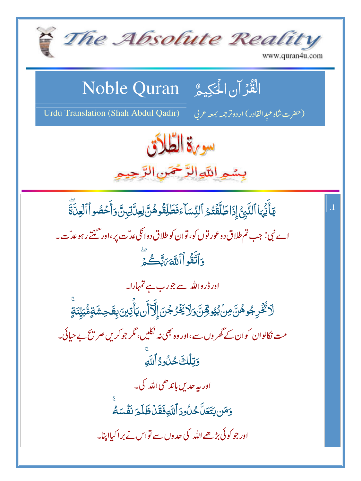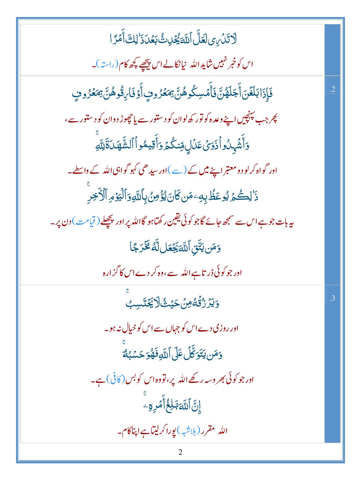لَاتَدۡرِى لَعَلَّ اللَّهَ يُجۡدِثُ بَعۡدَ ۚ ۚ لِكَ أَمۡرَ ا اس کوخبر نہیں شاید اللہ نیانکالے اس پیچھے پچھ کام(راستہ)۔ فَإِذَابَلَغَنَ أَجَلَهُنَّ فَأَمَسِكُوهُنَّ بِمَعْرُوبِ أَوۡ فَارِقُوهُنَّ بِمَعۡرُوبِ  $\cdot$ پھر جب پہنچیں اپنے وعدہ کو تور کھ<sup>ا</sup>لوان کو دستور سے پاچھوڑ دوان کو دستور سے ، وَأَشۡهٖلُواۡ ذَوَىَٰٓعَلۡالِ مِّنۡكُمۡ وَأَقِيمُواۡٱلشَّهَلَاَةَٰلِلَهِ اور گواہ کرلو دو معتبر اپنے میں کے (سے )اور سید ھی کہو گواہی اللہ کے داسطے۔ ۮؘ<sup>ٳ</sup>ڸڴؽٙؽ۠ۅعَڟۢٚڔؚ؈ؚٷڹػ*ۜٳڹ؞ۣ۠ۏٛٚۄڹ۠*ڔٲڷؘڸ*ٙۅ*ۯٲڷڋ*ۊ*ڔٲڷٲڿڔۨ بیربات جوہے اس سے سمجھ جائے گاجو کوئی یقین رکھتاہو گااللہ پر اور پچھلے ( قیامت) دن پر۔ وَمَن يَتَّقِ أَللَّهَ يَجْعَل لَّهُ لَخَّرَجًا اور جو کوئی ڈر تاہےاللہ سے،وہ کر دے اس کا گزارہ **وَيَزَرْقُهُ مِنْ حَيْثُ لَاَيَخْتَ**سِبُ اور روزی دے اس کو جہاں سے اس کو خیال نہ ہو۔ دَمَن يَتَوَكَّلُ عَلَى ٱللَّهِ فَهُوَ حَسَّبُهُمَّ اور جو کوئی بھر وسہ رکھے اللہ یر، تووہ اس کوبس (کافی)ہے۔ ٳڹۜٞٳٲڶڶۜۊؘڹڶؚڂٛٳۧٲؘٛڡؙڔێٟ الله مقرر (ب<sub>لاشبه</sub>) یوراکرلیتاہ اپناکام۔  $\overline{2}$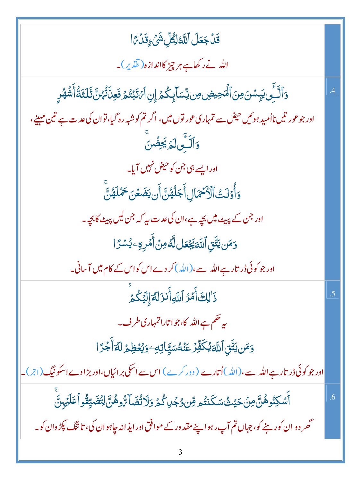| قَلْ جَعَلَ ٱللَّهُ لِكُلِّ شَيْءٍ قَلْ مَّا                                                                          |                 |
|-----------------------------------------------------------------------------------------------------------------------|-----------------|
| اللہ نےرکھاہے ہر چیز کااندازہ(تقن <sub>دی</sub> ر)۔                                                                   |                 |
| <u>و</u> َٱلَـَّـِى يَبِسُنَ مِنَ ٱلۡمَحِيضِ مِن نِّسَآبِكُمۡ إِنِ ٱمۡلَـۡبَٰتُمۡ فَعِلَّاتُٰهُ ۖ تَلۡثَقُلَّاۡشُهُرِ |                 |
| اور جوعور تیں نااُمید ہوئیں حیض سے تمہاری عور توں میں، اگر تم کوشبہ رہ گیا،توان کی عدت ہے تین مہینے،                  |                 |
| وَٱلَّتِّىٰلَهُ يَجِفُسَ                                                                                              |                 |
| اور ایسے ہی جن کو حیض نہیں آیا۔                                                                                       |                 |
| <u>و</u> َأُوۡلَتُ ٱلۡأَحۡمَالِ أَجَلُهُنَّ أَن يَضَعۡنَ حَمۡلَهُنَّ                                                  |                 |
| اور جن کے پیٹ میں بچہ ہے،ان کی عدت یہ کہ جن لیں پیٹ کا بچہ۔                                                           |                 |
| <u>و</u> َمَن يَتَّقِ ٱللَّ <i>ّ</i> حَيِّعَل لَّهُ مِنۡ أَمۡرِهِۦ يُسۡرَ ا                                           |                 |
| اور جو کوئی ڈر تارہے اللہ سے،(اللہ) کر دے اس کواس کے کام میں آسانی۔                                                   |                 |
| ذَٰ لِكَ أَمۡرُ ٱللَّٰهِ أَنزَلَٰهُ إِلَيۡكُمۡ                                                                        | $\overline{.5}$ |
| ىيە <i>ھ</i> ىم ہے اللہ كا،جواتاراتمہارى <i>طر</i> ف۔                                                                 |                 |
| <u>و</u> َمَن يَتَّقِ ٱللَّ <i>ّ</i> َ يُكَفِّرُ عَنۡهُۥ <i>سَ</i> يَّاتِهِۦوَيُعۡظِمۡ لَمَّأَجۡرًا                   |                 |
| ۔<br> اور جو کوئی ڈر تارہے اللہ سے،(اللہ)اُتارے ( دور کرے) اس سے اسکی برائیاں،اور بڑادے اسکو نیگ(اجر)۔                |                 |
| ٲؘٞۺڮٮؙ۠ۅۿ۠ڽؖٞ؈ؚؗٛٙٙڂؽٙٮ۫ٛ۠ۺػڹؾ۠ۄڡؚۨڹۏ۠ؗڿڔػ۠ؽۏڗڷٲؾۢۻؘٲ؆۠ۄۿڹؓڶؾ۠ۻؘؾۣڦۢۏٲٛ۠۠ڡؘڶؽٙؠؚڹؖٞ                                  | .6              |
| گھر دو ان کور ہنے کو، جہاں تم آپ رہو اپنے مقد ور کے موافق اور ایذانہ چاہو ان کی، تا تنگ پکڑ وان کو۔                   |                 |
|                                                                                                                       |                 |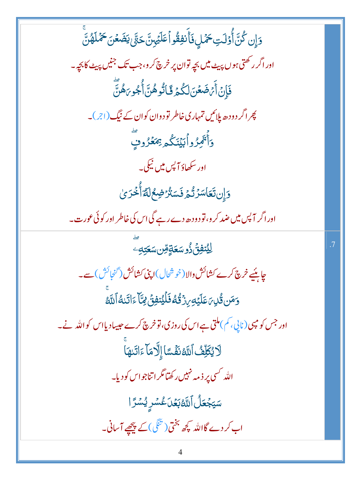دَإِن كُنَّ أُوۡلَتِ حَمۡلِ فَأَنفِقُو ٱعَلَيۡلِنَّ حَتَّىٰ يَضَعۡنَ حَمۡلَهُنَّ اور اگر ر<sup>کھ</sup>تی ہوں پیٹ میں بچہ توان پر خرچ کر و، جب تک جنیں پیٹ کابچہ ۔ ڣؘٳؚڹٙٲٞ*ڹٙڞؘۼڹؘ*ڶػؙؽ<sub>ؘ</sub>ػٙٲؾ۠ۅۿؙڹؖٲ۠ٛ۫ڿۅڔؘۿؙڹؖؖٞ پھر اگر دودھ بلائیں تمہاری خاطر تو دوان کوان کے نیگ (اجر)۔ .<br>وَأَتَّهِرُواۡ}يَّنۡنَكُمۡ بِمَعۡرُوتٍ اور سکھاؤ آ<sup>پ</sup>س میں نیکی۔ <u>وَإِن تَعَاسَرُتُمُ فَسَتُرْضِعُ لَمَّأَخْرَىٰ</u> اور اگر آپس میں ضد کر و، تو دو دھ دے رہے گی اس کی خاطر اور کوئی عورت۔ <u>لِيُنفِقُ ذُو سَعَةٍ مِّن سَعَتِهِ وَ</u> چاپئے خرچ کرے کشاکش والا (خوشحال)اپنی کشاکش (گنجا<sup>ک</sup>ش) سے۔ <u>و</u>َمَن قُٰلِ*نَ* عَلَيۡهِ بِنۡ ثُمُّ فَلۡلِّنۡفِقِؕ لِمَّآ ءَاتَنهُ ٱللَّهُ اور جس کو مپی (نایی، کم) ملتی ہے اس کی روزی، توخرچ کرے حبیباد پااس کواللہ نے۔ لَا يُكَلِّفُ اللَّهُ نَفَّسًا إِلَّا مَا ءَاتَيهَا الله <sup>کس</sup>ی یر ذیبه نہیں رکھتا مگر اتناجواس کو دیا۔ سَيَجُعَلُ اللَّهُ بَعُدَ عُسْرِ يُسْرًا اب کر دے گااللہ کچھ بختی(تنگی)کے پیچھے آسانی۔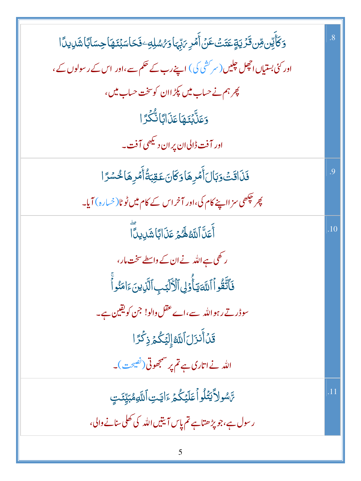| <u>و</u> َكَأَيَّن <i>قِن قَرَّ</i> يَةٍ عَتَنَتْ عَنۡ أَمۡرِ ىَ <sub>لِّ</sub> ہَاۚ وَ ُسُلِهِۦ فَحَاسَبۡنَـۡهَاۚ حِسَابَاۡ شَرِيدًا | $\overline{8}$ |
|---------------------------------------------------------------------------------------------------------------------------------------|----------------|
| اور کئی بستیاں اچھل چلیں (سرکشی کی) اپنے رب کے حکم سے،اور اس کے رسولوں کے،                                                            |                |
| پھر ہم نے حساب میں پکڑ اان کوسخت حساب میں،                                                                                            |                |
| وَعَنَّبَنَهَا عَذَابًا ثُّكَّرًا                                                                                                     |                |
| اور آفت ڈالیا <sub>ا</sub> ن پران د <sup>یکھی</sup> آفت۔                                                                              |                |
| فَذَاقَتْ وَبَالَ أَمَرِهَا وَكَانَ عَقِبَةُ أَمَرِهَا خُسْرًا                                                                        | 9.             |
| پھر چکھی سز ااپنے کام کی،اور آخراس کے کام میں ٹوٹا( خسارہ) آیا۔                                                                       |                |
| ِ<br>أَعَلَّ اللَّهُ لَهُمۡ عَذَابًا شَٰلِيكَاّ                                                                                       | .10            |
| ر کھی ہے اللہ نے ان کے واسطے سخ <b>ت ما</b> ر ،                                                                                       |                |
| فَأَتَّقُواُ ٱللَّهَ يَأۡ فَلِى ٱلۡأَلۡبَبِ ٱلَّذِينَ ءَامَنُواْ                                                                      |                |
| سوڈر تے رہو اللہ سے،اے عقل والو! جن کو یقین ہے۔                                                                                       |                |
| قَدۡأَنزَلَ ٱللَّهُۚ إِلَيۡكُمۡ ذِكۡدَا                                                                                               |                |
| اللہ نےاتاری ہے تم پر سمجھوتی(نصیحت)۔                                                                                                 |                |
| <i>؆</i> ۣۺۅٳۯۧؾؘؾؙڶۅٲٛٙۨٙۘڡؘڶؽٙػٛؽٙٵؾؾؚٵؖڷڐؘڡۣڣۑۜؾٮٙؾ                                                                                | .11            |
| ر سول ہے،جو پڑھتاہے تم پاس آیتیں اللہ کی تھلی سنانے والی،                                                                             |                |